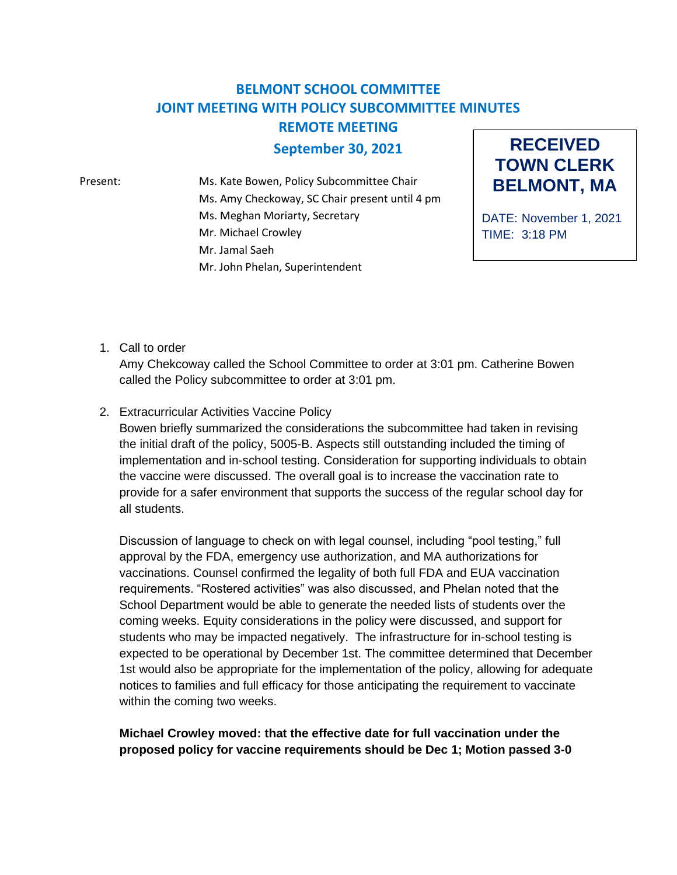## **BELMONT SCHOOL COMMITTEE JOINT MEETING WITH POLICY SUBCOMMITTEE MINUTES REMOTE MEETING**

## **September 30, 2021**

Present: Ms. Kate Bowen, Policy Subcommittee Chair Ms. Amy Checkoway, SC Chair present until 4 pm Ms. Meghan Moriarty, Secretary Mr. Michael Crowley Mr. Jamal Saeh Mr. John Phelan, Superintendent

**RECEIVED TOWN CLERK BELMONT, MA**

DATE: November 1, 2021 TIME: 3:18 PM

1. Call to order

Amy Chekcoway called the School Committee to order at 3:01 pm. Catherine Bowen called the Policy subcommittee to order at 3:01 pm.

2. Extracurricular Activities Vaccine Policy

Bowen briefly summarized the considerations the subcommittee had taken in revising the initial draft of the policy, 5005-B. Aspects still outstanding included the timing of implementation and in-school testing. Consideration for supporting individuals to obtain the vaccine were discussed. The overall goal is to increase the vaccination rate to provide for a safer environment that supports the success of the regular school day for all students.

Discussion of language to check on with legal counsel, including "pool testing," full approval by the FDA, emergency use authorization, and MA authorizations for vaccinations. Counsel confirmed the legality of both full FDA and EUA vaccination requirements. "Rostered activities" was also discussed, and Phelan noted that the School Department would be able to generate the needed lists of students over the coming weeks. Equity considerations in the policy were discussed, and support for students who may be impacted negatively. The infrastructure for in-school testing is expected to be operational by December 1st. The committee determined that December 1st would also be appropriate for the implementation of the policy, allowing for adequate notices to families and full efficacy for those anticipating the requirement to vaccinate within the coming two weeks.

**Michael Crowley moved: that the effective date for full vaccination under the proposed policy for vaccine requirements should be Dec 1; Motion passed 3-0**